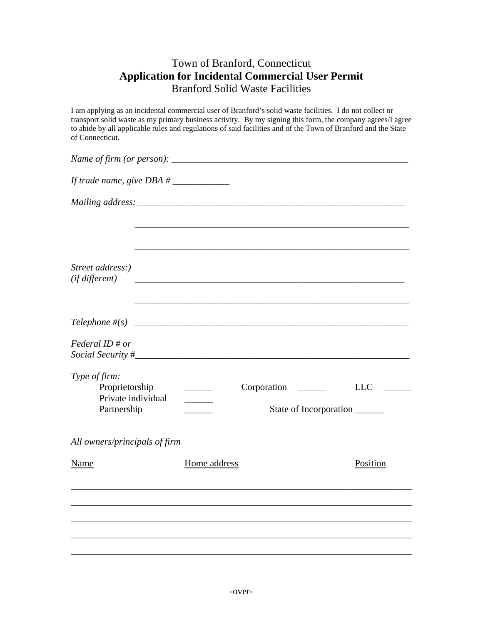## Town of Branford, Connecticut **Application for Incidental Commercial User Permit**  Branford Solid Waste Facilities

I am applying as an incidental commercial user of Branford's solid waste facilities. I do not collect or transport solid waste as my primary business activity. By my signing this form, the company agrees/I agree to abide by all applicable rules and regulations of said facilities and of the Town of Branford and the State of Connecticut.

| Street address:)<br>(if different)                                   |               |                                                                                   |            |  |
|----------------------------------------------------------------------|---------------|-----------------------------------------------------------------------------------|------------|--|
|                                                                      |               |                                                                                   |            |  |
| Federal ID # or                                                      |               |                                                                                   |            |  |
| Type of firm:<br>Proprietorship<br>Private individual<br>Partnership | $\frac{1}{2}$ | Corporation<br>State of Incorporation                                             | <b>LLC</b> |  |
| All owners/principals of firm                                        |               |                                                                                   |            |  |
| Name                                                                 | Home address  |                                                                                   | Position   |  |
|                                                                      |               | ,我们也不能在这里的时候,我们也不能在这里的时候,我们也不能会在这里的时候,我们也不能会在这里的时候,我们也不能会在这里的时候,我们也不能会在这里的时候,我们也不 |            |  |
|                                                                      |               |                                                                                   |            |  |
|                                                                      |               |                                                                                   |            |  |